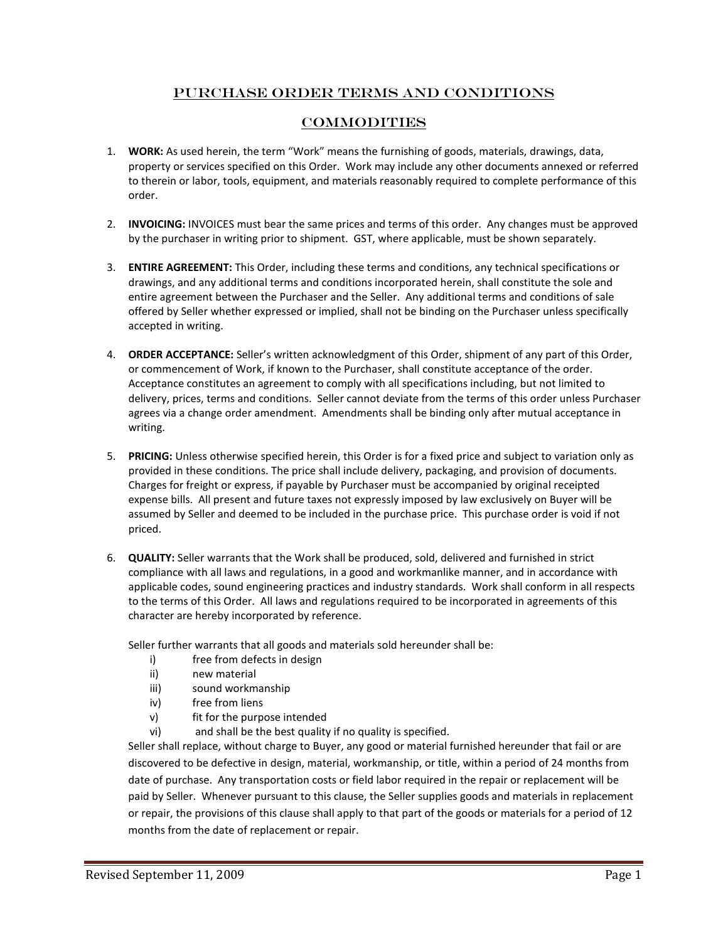## Purchase Order Terms and Conditions

## **COMMODITIES**

- 1. **WORK:** As used herein, the term "Work" means the furnishing of goods, materials, drawings, data, property or services specified on this Order. Work may include any other documents annexed or referred to therein or labor, tools, equipment, and materials reasonably required to complete performance of this order.
- 2. **INVOICING:** INVOICES must bear the same prices and terms of this order. Any changes must be approved by the purchaser in writing prior to shipment. GST, where applicable, must be shown separately.
- 3. **ENTIRE AGREEMENT:** This Order, including these terms and conditions, any technical specifications or drawings, and any additional terms and conditions incorporated herein, shall constitute the sole and entire agreement between the Purchaser and the Seller. Any additional terms and conditions of sale offered by Seller whether expressed or implied, shall not be binding on the Purchaser unless specifically accepted in writing.
- 4. **ORDER ACCEPTANCE:** Seller's written acknowledgment of this Order, shipment of any part of this Order, or commencement of Work, if known to the Purchaser, shall constitute acceptance of the order. Acceptance constitutes an agreement to comply with all specifications including, but not limited to delivery, prices, terms and conditions. Seller cannot deviate from the terms of this order unless Purchaser agrees via a change order amendment. Amendments shall be binding only after mutual acceptance in writing.
- 5. **PRICING:** Unless otherwise specified herein, this Order is for a fixed price and subject to variation only as provided in these conditions. The price shall include delivery, packaging, and provision of documents. Charges for freight or express, if payable by Purchaser must be accompanied by original receipted expense bills. All present and future taxes not expressly imposed by law exclusively on Buyer will be assumed by Seller and deemed to be included in the purchase price. This purchase order is void if not priced.
- 6. **QUALITY:** Seller warrants that the Work shall be produced, sold, delivered and furnished in strict compliance with all laws and regulations, in a good and workmanlike manner, and in accordance with applicable codes, sound engineering practices and industry standards. Work shall conform in all respects to the terms of this Order. All laws and regulations required to be incorporated in agreements of this character are hereby incorporated by reference.

Seller further warrants that all goods and materials sold hereunder shall be:

- i) free from defects in design
- ii) new material
- iii) sound workmanship
- iv) free from liens
- v) fit for the purpose intended
- vi) and shall be the best quality if no quality is specified.

Seller shall replace, without charge to Buyer, any good or material furnished hereunder that fail or are discovered to be defective in design, material, workmanship, or title, within a period of 24 months from date of purchase. Any transportation costs or field labor required in the repair or replacement will be paid by Seller. Whenever pursuant to this clause, the Seller supplies goods and materials in replacement or repair, the provisions of this clause shall apply to that part of the goods or materials for a period of 12 months from the date of replacement or repair.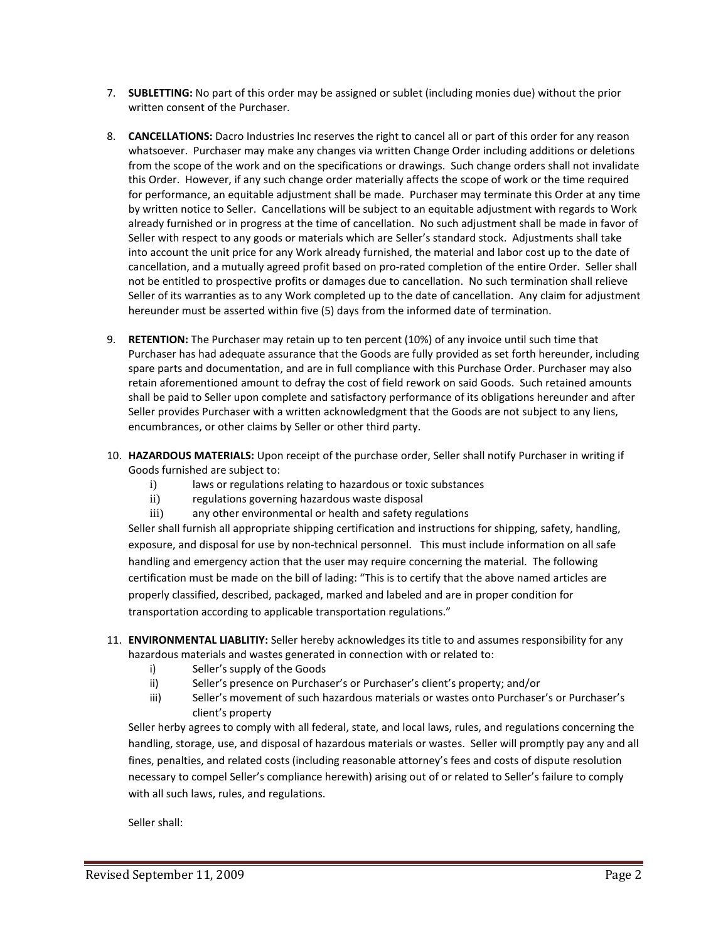- 7. **SUBLETTING:** No part of this order may be assigned or sublet (including monies due) without the prior written consent of the Purchaser.
- 8. **CANCELLATIONS:** Dacro Industries Inc reserves the right to cancel all or part of this order for any reason whatsoever. Purchaser may make any changes via written Change Order including additions or deletions from the scope of the work and on the specifications or drawings. Such change orders shall not invalidate this Order. However, if any such change order materially affects the scope of work or the time required for performance, an equitable adjustment shall be made. Purchaser may terminate this Order at any time by written notice to Seller. Cancellations will be subject to an equitable adjustment with regards to Work already furnished or in progress at the time of cancellation. No such adjustment shall be made in favor of Seller with respect to any goods or materials which are Seller's standard stock. Adjustments shall take into account the unit price for any Work already furnished, the material and labor cost up to the date of cancellation, and a mutually agreed profit based on pro-rated completion of the entire Order. Seller shall not be entitled to prospective profits or damages due to cancellation. No such termination shall relieve Seller of its warranties as to any Work completed up to the date of cancellation. Any claim for adjustment hereunder must be asserted within five (5) days from the informed date of termination.
- 9. **RETENTION:** The Purchaser may retain up to ten percent (10%) of any invoice until such time that Purchaser has had adequate assurance that the Goods are fully provided as set forth hereunder, including spare parts and documentation, and are in full compliance with this Purchase Order. Purchaser may also retain aforementioned amount to defray the cost of field rework on said Goods. Such retained amounts shall be paid to Seller upon complete and satisfactory performance of its obligations hereunder and after Seller provides Purchaser with a written acknowledgment that the Goods are not subject to any liens, encumbrances, or other claims by Seller or other third party.
- 10. **HAZARDOUS MATERIALS:** Upon receipt of the purchase order, Seller shall notify Purchaser in writing if Goods furnished are subject to:
	- i) laws or regulations relating to hazardous or toxic substances
	- ii) regulations governing hazardous waste disposal
	- iii) any other environmental or health and safety regulations

Seller shall furnish all appropriate shipping certification and instructions for shipping, safety, handling, exposure, and disposal for use by non-technical personnel. This must include information on all safe handling and emergency action that the user may require concerning the material. The following certification must be made on the bill of lading: "This is to certify that the above named articles are properly classified, described, packaged, marked and labeled and are in proper condition for transportation according to applicable transportation regulations."

- 11. **ENVIRONMENTAL LIABLITIY:** Seller hereby acknowledges its title to and assumes responsibility for any hazardous materials and wastes generated in connection with or related to:
	- i) Seller's supply of the Goods
	- ii) Seller's presence on Purchaser's or Purchaser's client's property; and/or
	- iii) Seller's movement of such hazardous materials or wastes onto Purchaser's or Purchaser's client's property

Seller herby agrees to comply with all federal, state, and local laws, rules, and regulations concerning the handling, storage, use, and disposal of hazardous materials or wastes. Seller will promptly pay any and all fines, penalties, and related costs (including reasonable attorney's fees and costs of dispute resolution necessary to compel Seller's compliance herewith) arising out of or related to Seller's failure to comply with all such laws, rules, and regulations.

Seller shall: